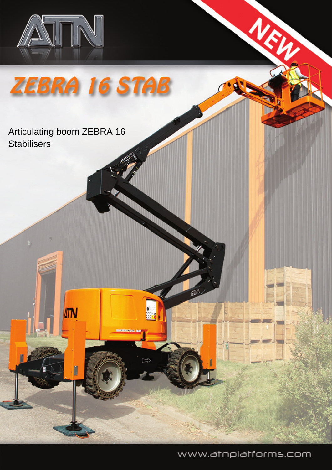

ZEBRA 16 STAB

## Articulating boom ZEBRA 16 **Stabilisers**

**ATN** 

www.atnplatforms.com

NEW